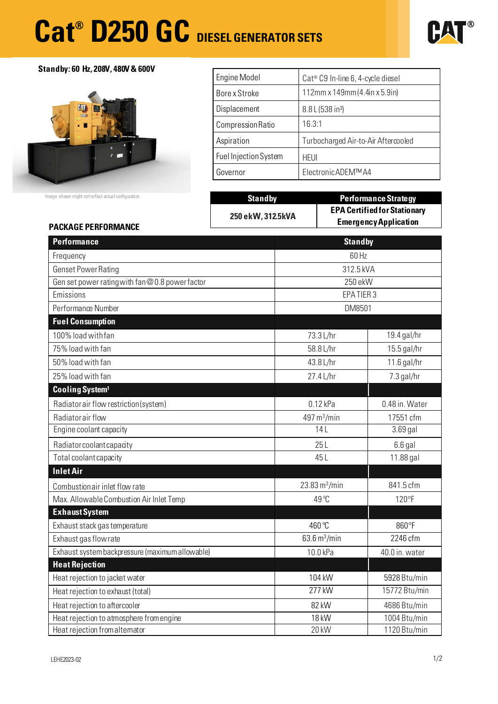# **Cat® D250 GC DIESEL GENERATOR SETS**



**Standby: 60 Hz, 208V, 480V & 600V** 



Image shown might not reflect actual configuration

| <b>Engine Model</b>   | Cat <sup>®</sup> C9 In-line 6, 4-cycle diesel |
|-----------------------|-----------------------------------------------|
| Bore x Stroke         | $112$ mm x $149$ mm (4.4in x 5.9in)           |
| Displacement          | 8.8 L (538 in <sup>3</sup> )                  |
| Compression Ratio     | 16.3:1                                        |
| Aspiration            | Turbocharged Air-to-Air Aftercooled           |
| Fuel Injection System | <b>HEUI</b>                                   |
| Governor              | Electronic ADEM™A4                            |

| <b>Standby</b>    | <b>Performance Strategy</b>                                         |
|-------------------|---------------------------------------------------------------------|
| 250 ekW, 312.5kVA | <b>EPA Certified for Stationary</b><br><b>Emergency Application</b> |

# **PACKAGE PERFORMANCE**

| <b>Performance</b>                              |                                     | <b>Standby</b> |  |
|-------------------------------------------------|-------------------------------------|----------------|--|
| Frequency                                       |                                     | 60 Hz          |  |
| <b>Genset Power Rating</b>                      | 312.5 kVA                           |                |  |
| Gen set power rating with fan @0.8 power factor | 250 ekW                             |                |  |
| Emissions                                       |                                     | EPATIER 3      |  |
| Performance Number                              |                                     | DM8501         |  |
| <b>Fuel Consumption</b>                         |                                     |                |  |
| 100% load with fan                              | 73.3 L/hr                           | 19.4 gal/hr    |  |
| 75% load with fan                               | 58.8 L/hr                           | 15.5 gal/hr    |  |
| 50% load with fan                               | 43.8 L/hr                           | $11.6$ gal/hr  |  |
| 25% load with fan                               | 27.4 L/hr                           | 7.3 gal/hr     |  |
| Cooling System <sup>1</sup>                     |                                     |                |  |
| Radiator air flow restriction (system)          | $0.12$ kPa                          | 0.48 in. Water |  |
| Radiator air flow                               | 497 m <sup>3</sup> /min             | 17551 cfm      |  |
| Engine coolant capacity                         | 14L                                 | 3.69 gal       |  |
| Radiator coolant capacity                       | 25L                                 | $6.6$ gal      |  |
| Total coolant capacity                          | 45L                                 | 11.88 gal      |  |
| <b>Inlet Air</b>                                |                                     |                |  |
| Combustion air inlet flow rate                  | $23.83 \,\mathrm{m}^3/\mathrm{min}$ | 841.5 cfm      |  |
| Max. Allowable Combustion Air Inlet Temp        | 49 °C                               | 120°F          |  |
| <b>Exhaust System</b>                           |                                     |                |  |
| Exhaust stack gas temperature                   | 460 °C                              | 860°F          |  |
| Exhaust gas flow rate                           | 63.6 $m^3/m$ in                     | 2246 cfm       |  |
| Exhaust system backpressure (maximum allowable) | 10.0 kPa                            | 40.0 in. water |  |
| <b>Heat Rejection</b>                           |                                     |                |  |
| Heat rejection to jacket water                  | 104 kW                              | 5928 Btu/min   |  |
| Heat rejection to exhaust (total)               | 277 kW                              | 15772 Btu/min  |  |
| Heat rejection to aftercooler                   | 82 kW                               | 4686 Btu/min   |  |
| Heat rejection to atmosphere from engine        | 18 kW                               | 1004 Btu/min   |  |
| Heat rejection from alternator                  | 20 kW                               | 1120 Btu/min   |  |